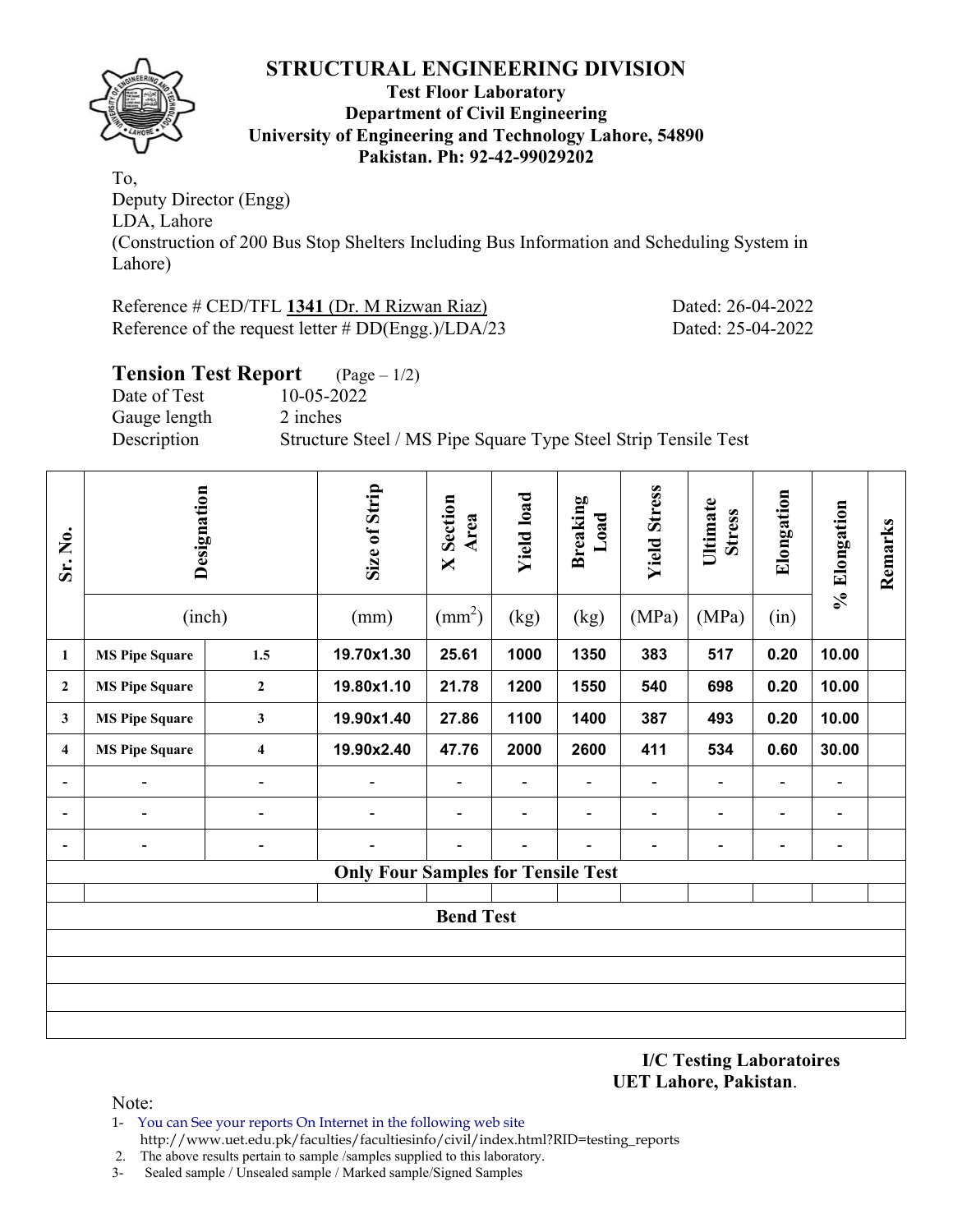

#### **Test Floor Laboratory Department of Civil Engineering University of Engineering and Technology Lahore, 54890 Pakistan. Ph: 92-42-99029202**

To, Deputy Director (Engg) LDA, Lahore (Construction of 200 Bus Stop Shelters Including Bus Information and Scheduling System in Lahore)

| Reference # CED/TFL 1341 (Dr. M Rizwan Riaz) |                                                      |  |  |  |  |  |  |  |
|----------------------------------------------|------------------------------------------------------|--|--|--|--|--|--|--|
|                                              | Reference of the request letter $# DD(Engg.)/LDA/23$ |  |  |  |  |  |  |  |

### **Tension Test Report** (Page – 1/2)

Date of Test 10-05-2022 Gauge length 2 inches

Description Structure Steel / MS Pipe Square Type Steel Strip Tensile Test

| Sr. No.        | Designation<br>(inch) |                              | Size of Strip<br>(mm)                     | Section<br>Area<br>$\blacksquare$<br>$\text{(mm}^2)$ | <b>Yield load</b><br>(kg) | <b>Breaking</b><br>Load<br>(kg) | <b>Yield Stress</b><br>(MPa) | Ultimate<br><b>Stress</b><br>(MPa) | Elongation<br>(in) | % Elongation   | Remarks |  |  |
|----------------|-----------------------|------------------------------|-------------------------------------------|------------------------------------------------------|---------------------------|---------------------------------|------------------------------|------------------------------------|--------------------|----------------|---------|--|--|
| 1              | <b>MS Pipe Square</b> | 1.5                          | 19.70x1.30                                | 25.61                                                | 1000                      | 1350                            | 383                          | 517                                | 0.20               | 10.00          |         |  |  |
| $\overline{2}$ | <b>MS Pipe Square</b> | 19.80x1.10                   | 21.78                                     | 1200                                                 | 1550                      | 540                             | 698                          | 0.20                               | 10.00              |                |         |  |  |
| $\mathbf{3}$   | <b>MS Pipe Square</b> | $\mathbf{3}$                 | 19.90x1.40                                | 27.86                                                | 1100                      | 1400                            | 387                          | 493                                | 0.20               | 10.00          |         |  |  |
| $\overline{4}$ | <b>MS Pipe Square</b> | $\overline{\mathbf{4}}$      |                                           | 47.76                                                | 2000                      | 2600                            | 411                          | 534                                | 0.60               | 30.00          |         |  |  |
| ٠              | $\blacksquare$        | $\qquad \qquad \blacksquare$ | $\blacksquare$                            |                                                      | $\blacksquare$            | $\blacksquare$                  |                              | $\overline{\phantom{0}}$           | Ξ.                 |                |         |  |  |
| ٠              |                       | $\blacksquare$               |                                           |                                                      |                           | $\blacksquare$                  |                              |                                    | -                  | $\blacksquare$ |         |  |  |
|                | $\blacksquare$        | $\qquad \qquad \blacksquare$ |                                           |                                                      |                           |                                 |                              | $\overline{\phantom{0}}$           | Ξ.                 | $\blacksquare$ |         |  |  |
|                |                       |                              | <b>Only Four Samples for Tensile Test</b> |                                                      |                           |                                 |                              |                                    |                    |                |         |  |  |
|                | <b>Bend Test</b>      |                              |                                           |                                                      |                           |                                 |                              |                                    |                    |                |         |  |  |
|                |                       |                              |                                           |                                                      |                           |                                 |                              |                                    |                    |                |         |  |  |
|                |                       |                              |                                           |                                                      |                           |                                 |                              |                                    |                    |                |         |  |  |
|                |                       |                              |                                           |                                                      |                           |                                 |                              |                                    |                    |                |         |  |  |
|                |                       |                              |                                           |                                                      |                           |                                 |                              |                                    |                    |                |         |  |  |

**I/C Testing Laboratoires UET Lahore, Pakistan**.

Dated: 26-04-2022 Dated: 25-04-2022

Note:

- 1- You can See your reports On Internet in the following web site http://www.uet.edu.pk/faculties/facultiesinfo/civil/index.html?RID=testing\_reports
- 2. The above results pertain to sample /samples supplied to this laboratory.
- 3- Sealed sample / Unsealed sample / Marked sample/Signed Samples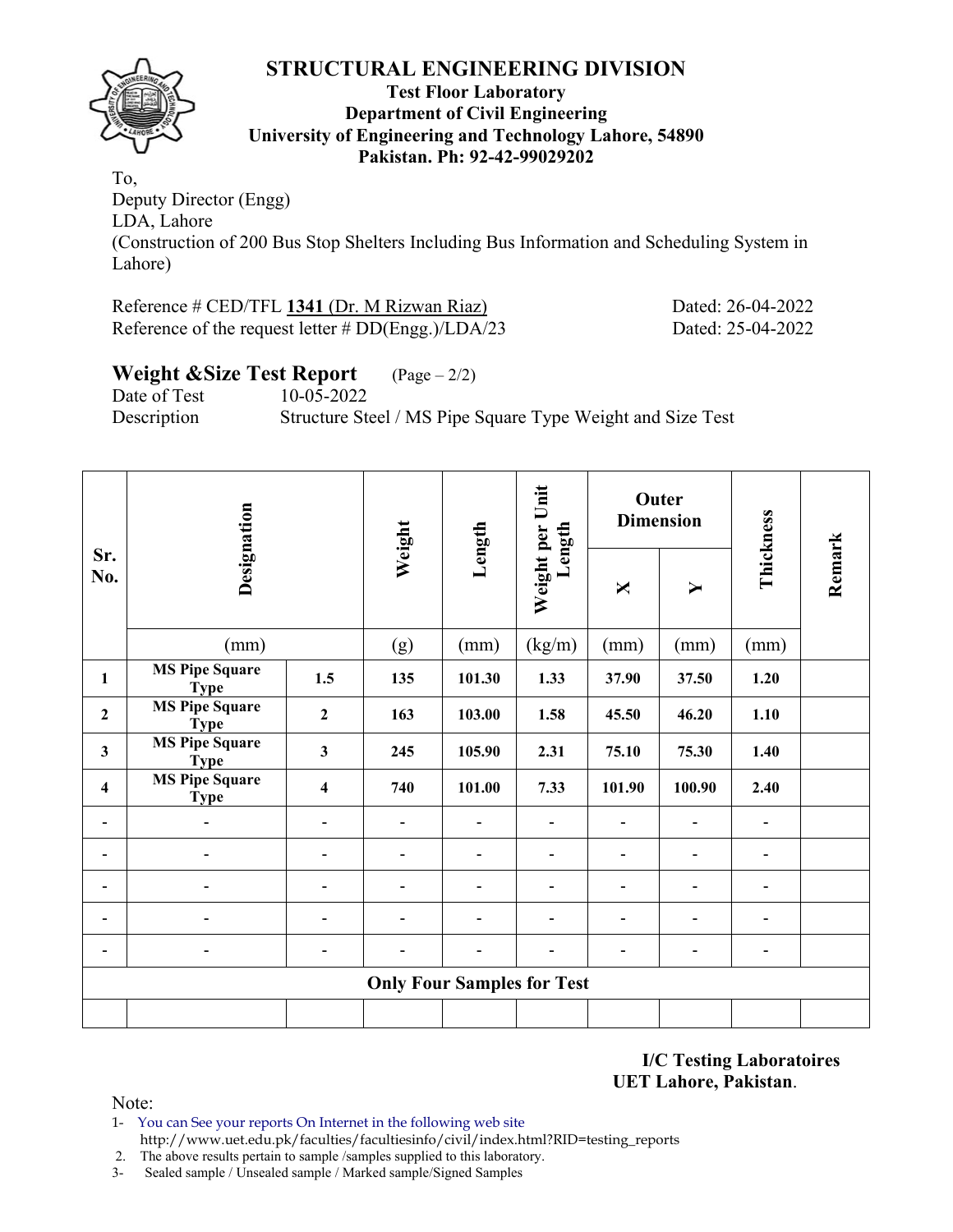

#### **Test Floor Laboratory Department of Civil Engineering University of Engineering and Technology Lahore, 54890 Pakistan. Ph: 92-42-99029202**

To, Deputy Director (Engg) LDA, Lahore (Construction of 200 Bus Stop Shelters Including Bus Information and Scheduling System in Lahore)

# Reference # CED/TFL 1341 (Dr. M Rizwan Riaz) Dated: 26-04-2022

Reference of the request letter # DD(Engg.)/LDA/23 Dated: 25-04-2022

# **Weight &Size Test Report** (Page – 2/2)

Date of Test 10-05-2022 Description Structure Steel / MS Pipe Square Type Weight and Size Test

|                         | Designation                          |                         | Weight                            | Length                   | Length                       |                          | <b>Outer</b><br><b>Dimension</b> |                              |        |
|-------------------------|--------------------------------------|-------------------------|-----------------------------------|--------------------------|------------------------------|--------------------------|----------------------------------|------------------------------|--------|
| Sr.<br>No.              |                                      |                         |                                   |                          | Weight per Unit              | X                        | $\blacktriangleright$            | Thickness                    | Remark |
|                         | (mm)                                 |                         | (g)                               | (mm)                     | (kg/m)                       | (mm)                     | (mm)                             | (mm)                         |        |
| 1                       | <b>MS Pipe Square</b><br><b>Type</b> | 1.5                     | 135                               | 101.30                   | 1.33                         | 37.90                    | 37.50                            | 1.20                         |        |
| $\overline{2}$          | <b>MS Pipe Square</b><br><b>Type</b> | $\overline{2}$          | 163                               | 103.00                   | 1.58                         | 45.50                    | 46.20                            | 1.10                         |        |
| $\overline{\mathbf{3}}$ | <b>MS Pipe Square</b><br><b>Type</b> | $\mathbf{3}$            | 245                               | 105.90                   | 2.31                         | 75.10                    | 75.30                            | 1.40                         |        |
| $\overline{\mathbf{4}}$ | <b>MS Pipe Square</b><br><b>Type</b> | $\overline{\mathbf{4}}$ | 740                               | 101.00                   | 7.33                         | 101.90                   | 100.90                           | 2.40                         |        |
|                         |                                      |                         |                                   |                          |                              |                          |                                  |                              |        |
|                         |                                      |                         |                                   |                          |                              |                          | -                                | ۰                            |        |
|                         |                                      |                         | -                                 | -                        | $\blacksquare$               | -                        | ۰                                | $\blacksquare$               |        |
|                         |                                      |                         | -                                 | $\overline{\phantom{0}}$ | $\qquad \qquad \blacksquare$ | -                        | -                                | -                            |        |
|                         | $\overline{\phantom{0}}$             |                         | $\blacksquare$                    | $\overline{\phantom{0}}$ | $\qquad \qquad \blacksquare$ | $\overline{\phantom{0}}$ | ۰                                | $\qquad \qquad \blacksquare$ |        |
|                         |                                      |                         | <b>Only Four Samples for Test</b> |                          |                              |                          |                                  |                              |        |
|                         |                                      |                         |                                   |                          |                              |                          |                                  |                              |        |

**I/C Testing Laboratoires UET Lahore, Pakistan**.

Note:

1- You can See your reports On Internet in the following web site http://www.uet.edu.pk/faculties/facultiesinfo/civil/index.html?RID=testing\_reports

2. The above results pertain to sample /samples supplied to this laboratory.

3- Sealed sample / Unsealed sample / Marked sample/Signed Samples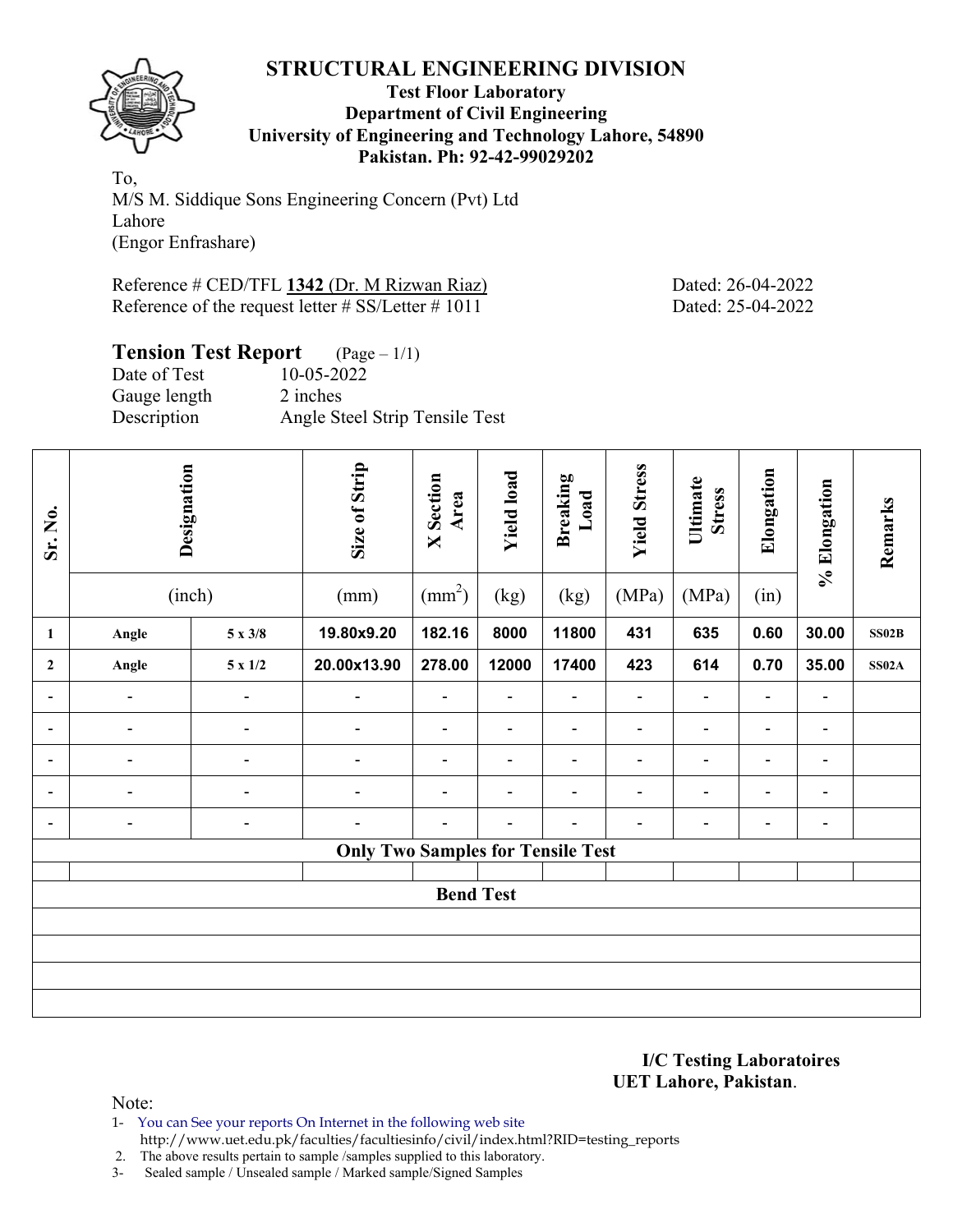

#### **Test Floor Laboratory Department of Civil Engineering University of Engineering and Technology Lahore, 54890 Pakistan. Ph: 92-42-99029202**

To, M/S M. Siddique Sons Engineering Concern (Pvt) Ltd Lahore (Engor Enfrashare)

Reference # CED/TFL 1342 (Dr. M Rizwan Riaz) Dated: 26-04-2022 Reference of the request letter # SS/Letter # 1011 Dated: 25-04-2022

# **Tension Test Report** (Page – 1/1)

| Date of Test | 10-05-2022                     |
|--------------|--------------------------------|
| Gauge length | 2 inches                       |
| Description  | Angle Steel Strip Tensile Test |

| Sr. No.          | Designation                  |                | Size of Strip                            | <b>X</b> Section<br>Area | <b>Yield load</b>        | <b>Breaking</b><br>Load  | <b>Yield Stress</b> | Ultimate<br><b>Stress</b> | Elongation     | % Elongation   | Remarks      |
|------------------|------------------------------|----------------|------------------------------------------|--------------------------|--------------------------|--------------------------|---------------------|---------------------------|----------------|----------------|--------------|
|                  |                              | (inch)         | (mm)                                     | $\text{(mm}^2)$          | (kg)                     | (kg)                     | (MPa)               | (MPa)                     | (in)           |                |              |
| $\mathbf{1}$     | Angle                        | $5 \times 3/8$ | 19.80x9.20                               | 182.16                   | 8000                     | 11800                    | 431                 | 635                       | 0.60           | 30.00          | SS02B        |
| $\mathbf{2}$     | Angle                        | $5 \ge 1/2$    | 20.00x13.90                              | 278.00                   | 12000                    | 17400                    | 423                 | 614                       | 0.70           | 35.00          | <b>SS02A</b> |
| $\blacksquare$   | $\overline{\phantom{a}}$     | $\blacksquare$ | $\overline{\phantom{a}}$                 | $\overline{\phantom{a}}$ | $\blacksquare$           | $\overline{\phantom{a}}$ | $\blacksquare$      | $\blacksquare$            | $\blacksquare$ | $\blacksquare$ |              |
| $\blacksquare$   | $\qquad \qquad \blacksquare$ | $\blacksquare$ | $\blacksquare$                           | $\blacksquare$           | $\blacksquare$           | $\blacksquare$           | $\blacksquare$      | $\blacksquare$            | $\blacksquare$ | $\blacksquare$ |              |
| -                | $\blacksquare$               |                | $\blacksquare$                           | $\blacksquare$           | $\overline{\phantom{0}}$ | $\blacksquare$           | $\overline{a}$      | $\blacksquare$            | ۰              | $\blacksquare$ |              |
| ۰.               | $\blacksquare$               | $\blacksquare$ | $\blacksquare$                           |                          |                          | $\blacksquare$           | $\overline{a}$      |                           | $\blacksquare$ | $\blacksquare$ |              |
| $\blacksquare$   | $\overline{\phantom{a}}$     | ۰              |                                          |                          |                          |                          | ۰                   |                           | ۰              | $\blacksquare$ |              |
|                  |                              |                | <b>Only Two Samples for Tensile Test</b> |                          |                          |                          |                     |                           |                |                |              |
| <b>Bend Test</b> |                              |                |                                          |                          |                          |                          |                     |                           |                |                |              |
|                  |                              |                |                                          |                          |                          |                          |                     |                           |                |                |              |
|                  |                              |                |                                          |                          |                          |                          |                     |                           |                |                |              |
|                  |                              |                |                                          |                          |                          |                          |                     |                           |                |                |              |

#### **I/C Testing Laboratoires UET Lahore, Pakistan**.

Note:

- 1- You can See your reports On Internet in the following web site http://www.uet.edu.pk/faculties/facultiesinfo/civil/index.html?RID=testing\_reports
- 2. The above results pertain to sample /samples supplied to this laboratory.
- 3- Sealed sample / Unsealed sample / Marked sample/Signed Samples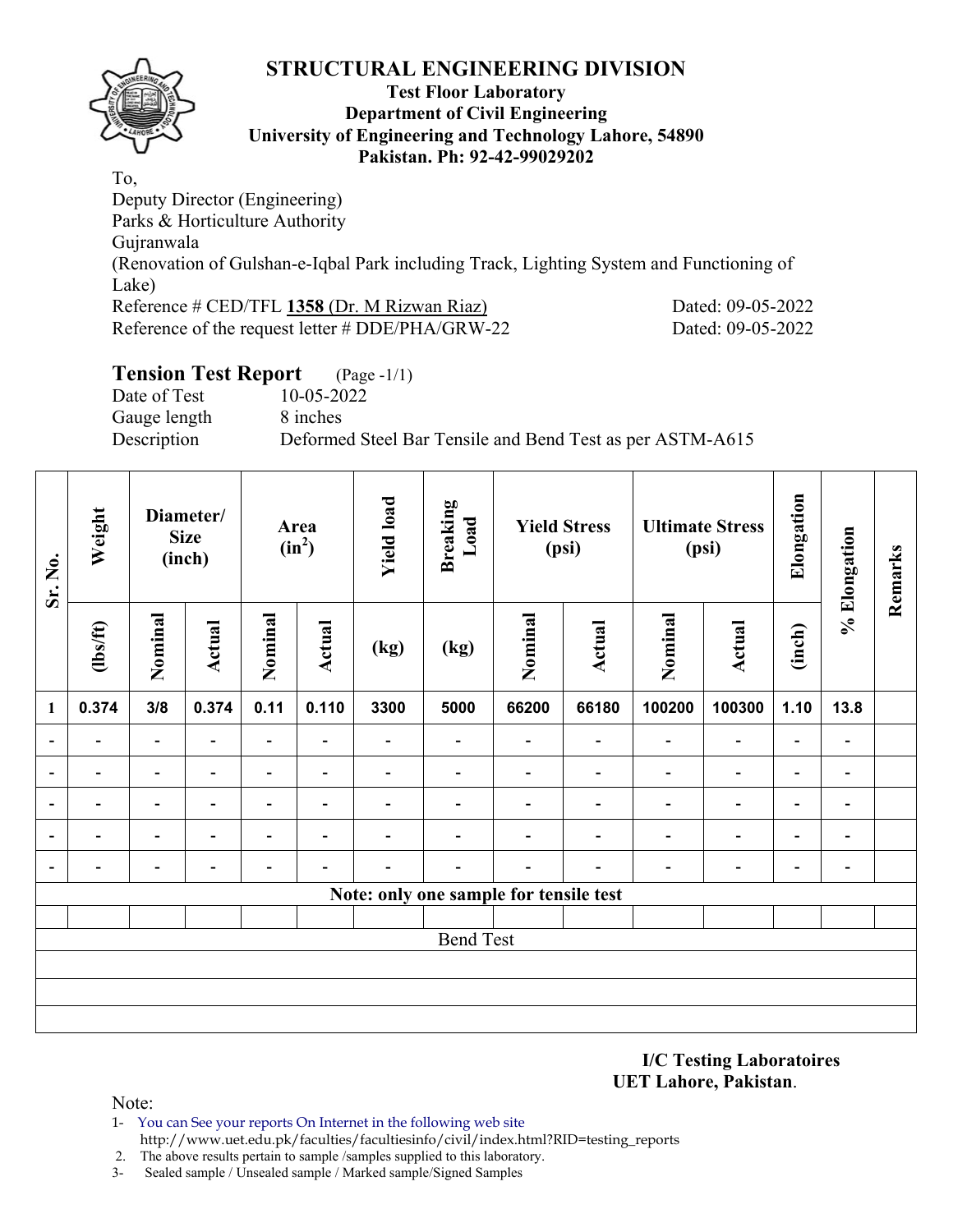

#### **Test Floor Laboratory Department of Civil Engineering University of Engineering and Technology Lahore, 54890 Pakistan. Ph: 92-42-99029202**

To, Deputy Director (Engineering) Parks & Horticulture Authority Gujranwala (Renovation of Gulshan-e-Iqbal Park including Track, Lighting System and Functioning of Lake) Reference # CED/TFL **1358** (Dr. M Rizwan Riaz) Dated: 09-05-2022 Reference of the request letter # DDE/PHA/GRW-22 Dated: 09-05-2022

# **Tension Test Report** (Page -1/1)

Date of Test 10-05-2022 Gauge length 8 inches

Description Deformed Steel Bar Tensile and Bend Test as per ASTM-A615

| Sr. No.                  | Weight<br>Diameter/<br><b>Size</b><br>(inch) |                |                          | Area<br>$(in^2)$         |                          | <b>Yield load</b>        | <b>Breaking</b><br>Load  | <b>Yield Stress</b><br>(psi)           |                          | <b>Ultimate Stress</b><br>(psi) |                          | Elongation               | % Elongation             | Remarks |
|--------------------------|----------------------------------------------|----------------|--------------------------|--------------------------|--------------------------|--------------------------|--------------------------|----------------------------------------|--------------------------|---------------------------------|--------------------------|--------------------------|--------------------------|---------|
|                          | (lbs/ft)                                     | Nominal        | Actual                   | Nominal                  | Actual                   | (kg)                     | (kg)                     | Nominal                                | <b>Actual</b>            | Nominal                         | <b>Actual</b>            | (inch)                   |                          |         |
| 1                        | 0.374                                        | 3/8            | 0.374                    | 0.11                     | 0.110                    | 3300                     | 5000                     | 66200                                  | 66180                    | 100200                          | 100300                   | 1.10                     | 13.8                     |         |
|                          | $\overline{\phantom{0}}$                     | $\blacksquare$ | $\overline{\phantom{0}}$ | $\overline{\phantom{a}}$ | $\overline{\phantom{a}}$ | $\overline{\phantom{0}}$ | $\overline{\phantom{a}}$ | $\overline{\phantom{0}}$               | $\overline{\phantom{a}}$ | $\blacksquare$                  | $\overline{\phantom{a}}$ | $\blacksquare$           | $\overline{\phantom{a}}$ |         |
|                          | $\overline{a}$                               | $\blacksquare$ |                          | $\overline{\phantom{0}}$ | $\overline{\phantom{0}}$ | -                        |                          |                                        |                          | $\overline{\phantom{0}}$        | $\overline{\phantom{a}}$ | -                        | $\overline{a}$           |         |
|                          | $\overline{a}$                               | $\blacksquare$ | ۳                        | $\overline{\phantom{0}}$ | $\overline{\phantom{a}}$ |                          |                          |                                        |                          | $\overline{\phantom{0}}$        | $\overline{\phantom{a}}$ | $\overline{\phantom{0}}$ | $\overline{a}$           |         |
| $\overline{\phantom{a}}$ | $\overline{\phantom{0}}$                     | $\blacksquare$ | $\overline{\phantom{0}}$ | $\overline{\phantom{0}}$ | $\overline{\phantom{a}}$ | $\overline{\phantom{0}}$ | $\overline{\phantom{0}}$ |                                        | $\overline{\phantom{0}}$ | $\overline{\phantom{a}}$        | $\overline{\phantom{a}}$ | $\blacksquare$           | $\overline{\phantom{a}}$ |         |
| $\overline{\phantom{a}}$ | $\overline{a}$                               | -              | $\overline{\phantom{0}}$ | $\overline{\phantom{0}}$ | $\overline{\phantom{0}}$ |                          | $\overline{\phantom{0}}$ | $\overline{\phantom{0}}$               | ۰                        | $\overline{\phantom{0}}$        | $\overline{\phantom{a}}$ | $\blacksquare$           | $\overline{\phantom{a}}$ |         |
|                          |                                              |                |                          |                          |                          |                          |                          | Note: only one sample for tensile test |                          |                                 |                          |                          |                          |         |
|                          |                                              |                |                          |                          |                          |                          |                          |                                        |                          |                                 |                          |                          |                          |         |
|                          |                                              |                |                          |                          |                          |                          | <b>Bend Test</b>         |                                        |                          |                                 |                          |                          |                          |         |
|                          |                                              |                |                          |                          |                          |                          |                          |                                        |                          |                                 |                          |                          |                          |         |
|                          |                                              |                |                          |                          |                          |                          |                          |                                        |                          |                                 |                          |                          |                          |         |
|                          |                                              |                |                          |                          |                          |                          |                          |                                        |                          |                                 |                          |                          |                          |         |

**I/C Testing Laboratoires UET Lahore, Pakistan**.

Note:

1- You can See your reports On Internet in the following web site http://www.uet.edu.pk/faculties/facultiesinfo/civil/index.html?RID=testing\_reports

2. The above results pertain to sample /samples supplied to this laboratory.

3- Sealed sample / Unsealed sample / Marked sample/Signed Samples